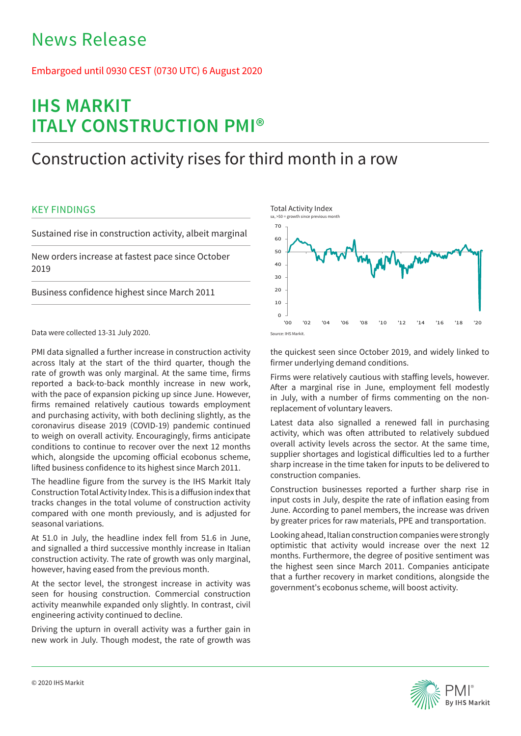# News Release

## Embargoed until 0930 CEST (0730 UTC) 6 August 2020

# **IHS MARKIT ITALY CONSTRUCTION PMI®**

## Construction activity rises for third month in a row

## KEY FINDINGS

Sustained rise in construction activity, albeit marginal

New orders increase at fastest pace since October 2019

Business confidence highest since March 2011

Data were collected 13-31 July 2020.

PMI data signalled a further increase in construction activity across Italy at the start of the third quarter, though the rate of growth was only marginal. At the same time, firms reported a back-to-back monthly increase in new work, with the pace of expansion picking up since June. However, firms remained relatively cautious towards employment and purchasing activity, with both declining slightly, as the coronavirus disease 2019 (COVID-19) pandemic continued to weigh on overall activity. Encouragingly, firms anticipate conditions to continue to recover over the next 12 months which, alongside the upcoming official ecobonus scheme, lifted business confidence to its highest since March 2011.

The headline figure from the survey is the IHS Markit Italy Construction Total Activity Index. This is a diffusion index that tracks changes in the total volume of construction activity compared with one month previously, and is adjusted for seasonal variations.

At 51.0 in July, the headline index fell from 51.6 in June, and signalled a third successive monthly increase in Italian construction activity. The rate of growth was only marginal, however, having eased from the previous month.

At the sector level, the strongest increase in activity was seen for housing construction. Commercial construction activity meanwhile expanded only slightly. In contrast, civil engineering activity continued to decline.

Driving the upturn in overall activity was a further gain in new work in July. Though modest, the rate of growth was



the quickest seen since October 2019, and widely linked to firmer underlying demand conditions.

Firms were relatively cautious with staffing levels, however. After a marginal rise in June, employment fell modestly in July, with a number of firms commenting on the nonreplacement of voluntary leavers.

Latest data also signalled a renewed fall in purchasing activity, which was often attributed to relatively subdued overall activity levels across the sector. At the same time, supplier shortages and logistical difficulties led to a further sharp increase in the time taken for inputs to be delivered to construction companies.

Construction businesses reported a further sharp rise in input costs in July, despite the rate of inflation easing from June. According to panel members, the increase was driven by greater prices for raw materials, PPE and transportation.

Looking ahead, Italian construction companies were strongly optimistic that activity would increase over the next 12 months. Furthermore, the degree of positive sentiment was the highest seen since March 2011. Companies anticipate that a further recovery in market conditions, alongside the government's ecobonus scheme, will boost activity.